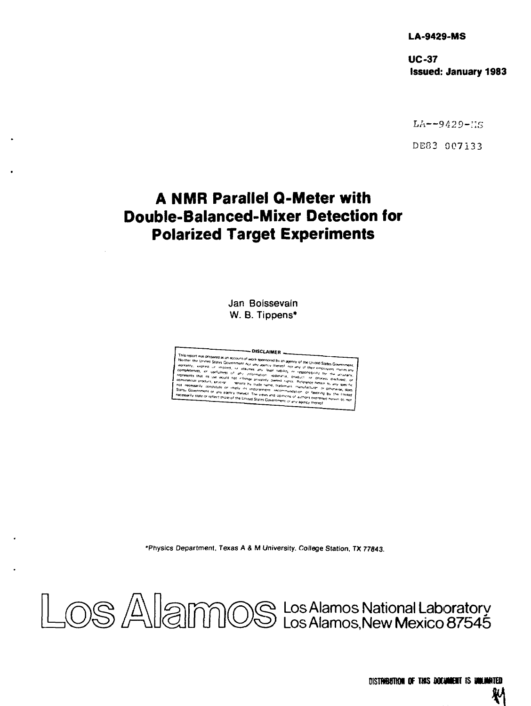**LA-9429-MS** 

**UC-37 Issued: January 1983** 

LA—*942D-::s* 

DE83 007133

# **A NMR Parallel Q-Meter with Double-Balanced-Mixer Detection for Polarized Target Experiments**

**Jan Boissevain W. B. Tippens\*** 

DISCLAIMER -This report was prepared as an accounting to the seminarity of the United States Government. Number the United States Government our user of the seminary of the United States Government Number of the States Government our

•Physics Department, Texas A & M University. College Station, TX 77843.

Los Alamos National Laboratory Los Alamos, New Mexico 87545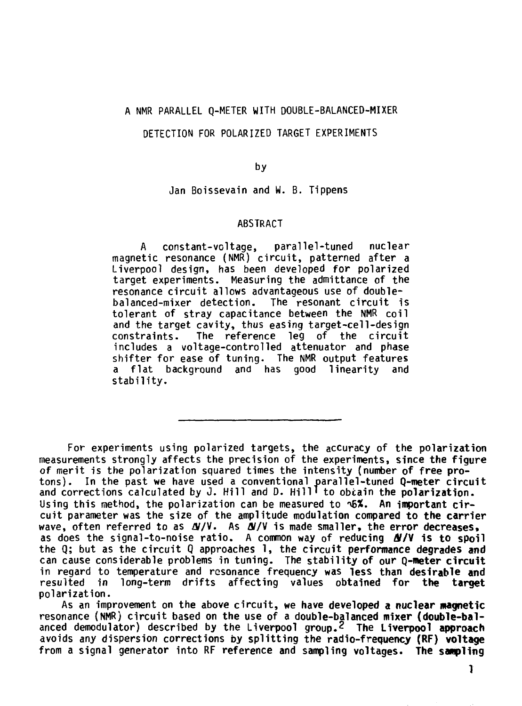### **A NMR PARALLEL Q-METER WITH DOUBLE-BALANCED-MIXER**

#### **DETECTION FOR POLARIZED TARGET EXPERIMENTS**

**by** 

**Jan Boissevain and W. B. Tippens** 

#### **ABSTRACT**

**A constant-voltage, parallel-tuned nuclear magnetic resonance (NMR) circuit, patterned after a Liverpool design, has been developed for polarized target experiments. Measuring the admittance of the resonance circuit allows advantageous use of doublebalanced-mixer detection. The resonant circuit is tolerant of stray capacitance between the NMR coil and the target cavity, thus easing target-cell-design constraints. The reference leg of the circuit includes a voltage-controlled attenuator and phase shifter for ease of tuning- The NMR output features a flat background and has good linearity and stability.** 

**For experiments using polarized targets, the accuracy of the polarization measurements strongly affects the precision of the experiments, since the figure of merit is the polarization squared times the intensity (number of free pro tons). In the past we have used a conventional parallel-tuned Q-meter circuit and corrections calculated by J. Hill and D. Hill' to obcain the polarization. Using this method, the polarization can be measured to ^%. An important cir cuit parameter was the size of the amplitude modulation compared to the carrier**  wave, often referred to as  $\frac{N}{V}$ . As  $\frac{N}{V}$  is made smaller, the error decreases. **as does the signal-to-noise ratio. A common way of reducing df/V is to spoil the Q; but as the circuit Q approaches 1, the circuit performance degrades and can cause considerable problems in tuning. The stability of our Q-meter circuit in regard to temperature and resonance frequency was less than desirable and resulted in long-term drifts affecting values obtained for the target polarization.** 

**As an improvement on the above circuit, we have developed a nuclear magnetic resonance (NMR) circuit based on the use of a double-balanced mixer (double-bal anced demodulator) described by the Liverpool group.2 The Liverpool approach avoids any dispersion corrections by splitting the radio-frequency (RF) voltage from a signal generator into RF reference and sampling voltages. The sampling** 

**1**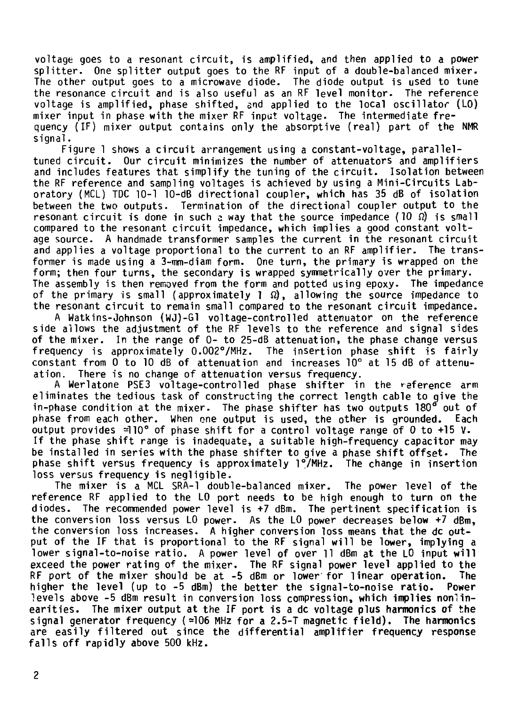**voltage goes to a resonant circuit, is amplified, and then applied to a power splitter. One splitter output goes to the RF input of a double-balanced mixer. The other output goes to a microwave diode. The diode output is used to tune the resonance circuit and is also useful as an RF level monitor. The reference voltage is amplified, phase shifted, and applied to the local oscillator (LO) mixer input in phase with the mixer RF input voltage. The intermediate fre quency (IF) mixer output contains only the absorptive (real) part of the NMR signal.** 

**Figure 1 shows a circuit arrangement using a constant-voltage, paralleltuned circuit. Our circuit minimizes the number of attenuators and amplifiers and includes features that simplify the tuning of the circuit. Isolation between the RF reference and sampling voltages is achieved by using a Mini-Circuits Lab oratory (MCL) TDC 10-1 10-dB directional coupler, which has 35 dB of isolation between the two outputs. Termination of the directional coupler output to the resonant circuit is done in such a way that the source impedance (10 Q) is small**  compared to the resonant circuit impedance, which implies a good constant volt**age source. A handmade transformer samples the current in the resonant circuit**  and applies a voltage proportional to the current to an RF amplifier. The trans**former is made using a 3-tnm-diam form. One turn, the primary is wrapped on the form; then four turns, the secondary is wrapped symmetrically over the primary. The assembly is then removed from the form and potted using epoxy. The impedance of the primary is small (approximately 1 Q), allowing the source impedance to the resonant circuit to remain small compared to the resonant circuit impedance.** 

**A Watkins-Johnson (WJ)-Gl voltage-controlled attenuator on the reference side allows the adjustment of the RF levels to the reference and signal sides of the mixer. In the range of 0- to 25-dB attenuation, the phase change versus frequency is approximately 0.002°/MHz. The insertion phase shift is fairly constant from 0 to 10 dB of attenuation and increases 10° at 15 dB of attenu ation. There is no change of attenuation versus frequency.** 

**A Werlatone PSE3 voltage-controlled phase shifter in the reference arm eliminates the tedious task of constructing the correct length cable to give the**  in-phase condition at the mixer. The phase shifter has two outputs 180<sup>6</sup> out of **phase from each other. When one output is used, the other is grounded. Each output provides =110° of phase shift for a control voltage range of 0 to +15 V-If the phase shift range is inadequate, a suitable high-frequency capacitor may be installed in series with the phase shifter to give a phase shift offset- The phase shift versus frequency is approximately l°/MHz. The change in insertion loss versus frequency is negligible.** 

**The mixer is a MCL SRA-1 double-balanced mixer. The power level of the reference RF applied to the LO port needs to be high enough to turn on the diodes. The recommended power level is +7 dBm. The pertinent specification is the conversion loss versus LO power. As the LO power decreases below +7 dBm, the conversion loss increases. A higher conversion loss means that the dc out put of the IF that is proportional to the RF signal will be lower, implying a lower signal-to-noise ratio. A power level of over 11 dBm at the LO input will exceed the power rating of the mixer. The RF signal power level applied to the RF port of the mixer should be at -5 dBm or lower for linear operation. The higher the level (up to -5 dBm) the better the signal-to-noise ratio. Power**  levels above -5 dBm result in conversion loss compression, which implies nonlin**earities. The mixer output at the IF port is a dc voltage plus harmonics of the**  signal generator frequency  $(2106 \text{ MHz}$  for a 2.5-T magnetic field). The harmonics **are easily filtered out since the differential amplifier frequency response falls off rapidly above 500 kHz.**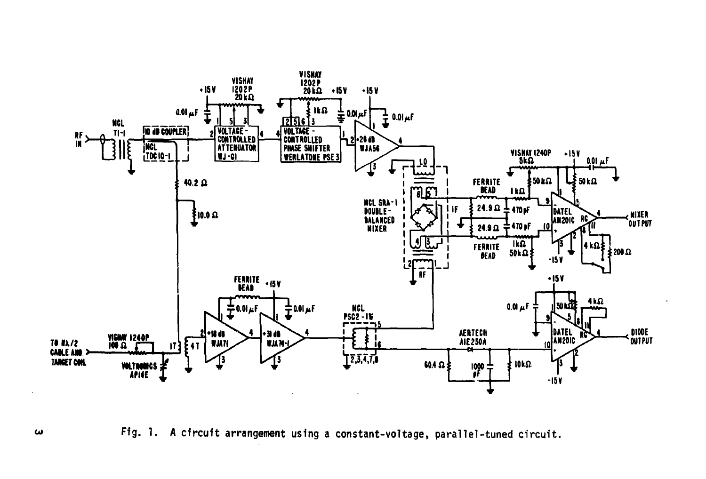

**Fig. 1. A circuit arrangement using a constant-voltage, parallel-tuned circuit.** 

 $\boldsymbol{\omega}$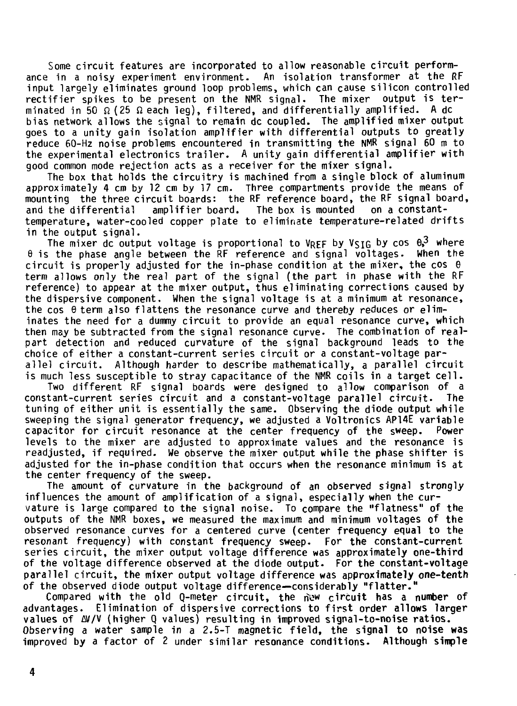Some circuit features are incorporated to allow reasonable circuit performance in a noisy experiment environment. An isolation transformer at the RF input largely eliminates ground loop problems, which can cause silicon controlled rectifier spikes to be present on the NMR signal. The mixer output is terminated in 50  $\Omega$  (25  $\Omega$  each leg), filtered, and differentially amplified. A dc bias network allows the signal to remain dc coupled. The amplified mixer output goes to a unity gain isolation amplifier with differential outputs to greatly reduce 60-Hz noise problems encountered in transmitting the NMR signal 60 m to the experimental electronics trailer. A unity gain differential amplifier with good common mode rejection acts as a receiver for the mixer signal.

The box that holds the circuitry is machined from a single block of aluminum approximately 4 cm by 12 cm by 17 cm. Three compartments provide the means of mounting the three circuit boards: the RF reference board, the RF signal board,<br>and the differential amplifier board. The box is mounted on a constantand the differential amplifier board. The box is mounted on a constanttemperature, water-cooled copper plate to eliminate temperature-related drifts in the output signal.

The mixer dc output voltage is proportional to VREF by VSIG by cos  $0.3$  where  $\theta$  is the phase angle between the RF reference and signal voltages. When the circuit is properly adjusted for the in-phase condition at the mixer, the cos  $\theta$ term allows only the real part of the signal (the part in phase with the RF reference) to appear at the mixer output, thus eliminating corrections caused by the dispersive component. When the signal voltage is at a minimum at resonance, the cos  $\theta$  term also flattens the resonance curve and thereby reduces or eliminates the need for a dummy circuit to provide an equal resonance curve, which then may be subtracted from the signal resonance curve. The combination of realpart detection and reduced curvature of the signal background leads to the choice of either a constant-current series circuit or a constant-voltage par allel circuit. Although harder to describe mathematically, a parallel circuit is much less susceptible to stray capacitance of the NMR coils in a target cell.

Two different RF signal boards were designed to allow comparison of a constant-current series circuit and a constant-voltage parallel circuit. The tuning of either unit is essentially the same. Observing the diode output while sweeping the signal generator frequency, we adjusted a Voltronics AP14E variable capacitor for circuit resonance at the center frequency of the sweep. Power levels to the mixer are adjusted to approximate values and the resonance is readjusted, if required. We observe the mixer output while the phase shifter is adjusted for the in-phase condition that occurs when the resonance minimum is at the center frequency of the sweep.

The amount of curvature in the background of an observed signal strongly influences the amount of amplification of a signal, especially when the curvature is large compared to the signal noise. To compare the "flatness" of the outputs of the NMR boxes, we measured the maximum and minimum voltages of the observed resonance curves for a centered curve (center frequency equal to the resonant frequency) with constant frequency sweep. For the constant-current series circuit, the mixer output voltage difference was approximately one-third of the voltage difference observed at the diode output. For the **constant-voltage**  parallel circuit, the mixer output voltage difference was **approximately one-tenth**  of the observed diode output voltage difference—considerably **"flatter."** 

Compared with the old Q-meter circuit, the n\'« circuit **has a number of**  advantages. Elimination of dispersive corrections to first **order allows larger**  values of AV/V (higher Q values) resulting in improved signal-to-noise **ratios.**  Observing a water sample in a 2.5-T magnetic field, **the** signal **to noise was**  improved by a factor of 2 under similar resonance conditions. **Although simple**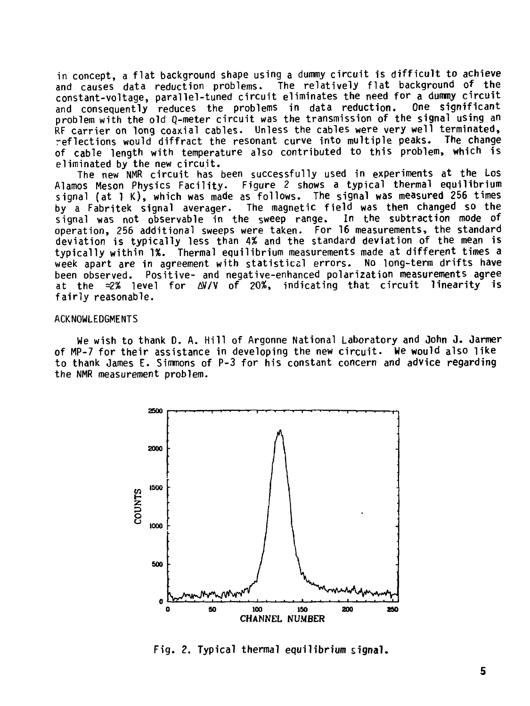**in concept, a flat background shape using a dummy circuit is difficult to achieve and causes data reduction problems. The relatively flat background of the constant-voltage, parallel-tuned circuit eliminates the need for a dummy circuit**  and consequently reduces the problems in data reduction. **problem with the old Q-meter circuit was the transmission of the signal using an RF carrier on long coaxial cables. Unless the cables were very well terminated, reflections would diffract the resonant curve into multiple peaks. The change of cable length with temperature also contributed to this problem, which is eliminated by the new circuit.** 

**The new NMR circuit has been successfully used in experiments at the Los Alamos Meson Physics Facility. Figure 2 shows a typical thermal equilibrium signal (at 1 K) , which was made as follows. The signal was measured 256 times by a Fabritek signal averager. The magnetic field was then changed so the signal was not observable in the sweep range. In the subtraction mode of operation, 256 additional sweeps were taken. For 16 measurements, the standard deviation is typically less than 4% and the standard deviation of the mean is typically within 1%. Thermal equilibrium measurements made at different times a week apart are in agreement with statistical errors. No long-term drifts have been observed. Positive- and negative-enhanced polarization measurements agree at the =3% level for AV/V of 20%, indicating that circuit linearity is fairly reasonable.** 

## **ACKNOWLEDGMENTS**

**We wish to thank D. A. Hill of Argonne National Laboratory and John J. Jarmer of MP-7 for their assistance in developing the new circuit. We would also like to thank James E. Simmons of P-3 for his constant concern and advice regarding the NMR measurement problem.** 



**Fig. 2. Typical thermal equilibrium signal.**